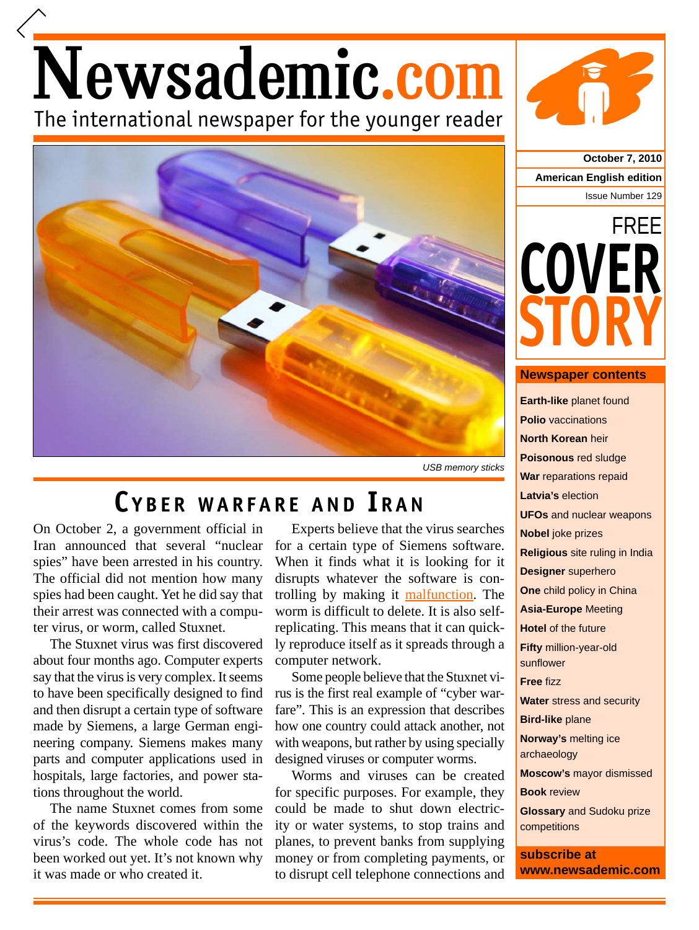# Newsademic.com The international newspaper for the younger reader



*USB memory sticks*

## **C YBER WARFARE AND I RAN**

On October 2, a government official in Iran announced that several "nuclear spies" have been arrested in his country. The official did not mention how many spies had been caught. Yet he did say that their arrest was connected with a computer virus, or worm, called Stuxnet.

The Stuxnet virus was first discovered about four months ago. Computer experts say that the virus is very complex. It seems to have been specifically designed to find and then disrupt a certain type of software made by Siemens, a large German engineering company. Siemens makes many parts and computer applications used in hospitals, large factories, and power stations throughout the world.

The name Stuxnet comes from some of the keywords discovered within the virus's code. The whole code has not been worked out yet. It's not known why it was made or who created it.

Experts believe that the virus searches for a certain type of Siemens software. When it finds what it is looking for it disrupts whatever the software is controlling by making it malfunction. The worm is difficult to delete. It is also selfreplicating. This means that it can quickly reproduce itself as it spreads through a computer network.

Some people believe that the Stuxnet virus is the first real example of "cyber warfare". This is an expression that describes how one country could attack another, not with weapons, but rather by using specially designed viruses or computer worms.

Worms and viruses can be created for specific purposes. For example, they could be made to shut down electricity or water systems, to stop trains and planes, to prevent banks from supplying money or from completing payments, or to disrupt cell telephone connections and

**October 7, 2010 American English edition** Issue Number 129



#### **Newspaper contents**

**Earth-like** planet found **Polio** vaccinations **North Korean** heir **Poisonous** red sludge **War** reparations repaid **Latvia's** election **UFOs** and nuclear weapons **Nobel** joke prizes **Religious** site ruling in India **Designer** superhero **One** child policy in China **Asia-Europe** Meeting **Hotel** of the future **Fifty** million-year-old sunflower **Free** fizz **Water** stress and security **Bird-like** plane **Norway's** melting ice archaeology **Moscow's** mayor dismissed **Book** review **Glossary** and Sudoku prize competitions **subscribe at**

**www.newsademic.com**